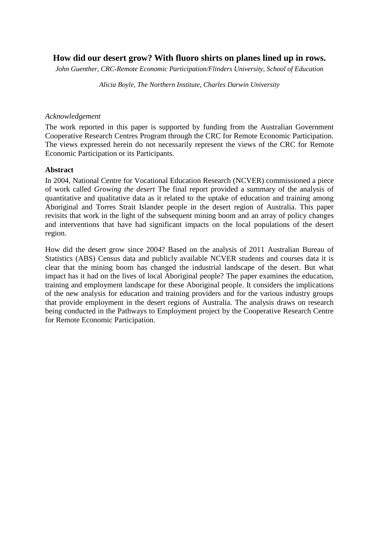# **How did our desert grow? With fluoro shirts on planes lined up in rows.**

*John Guenther, CRC-Remote Economic Participation/Flinders University, School of Education*

*Alicia Boyle, The Northern Institute, Charles Darwin University*

### *Acknowledgement*

The work reported in this paper is supported by funding from the Australian Government Cooperative Research Centres Program through the CRC for Remote Economic Participation. The views expressed herein do not necessarily represent the views of the CRC for Remote Economic Participation or its Participants.

### **Abstract**

In 2004, National Centre for Vocational Education Research (NCVER) commissioned a piece of work called *Growing the desert* The final report provided a summary of the analysis of quantitative and qualitative data as it related to the uptake of education and training among Aboriginal and Torres Strait Islander people in the desert region of Australia. This paper revisits that work in the light of the subsequent mining boom and an array of policy changes and interventions that have had significant impacts on the local populations of the desert region.

How did the desert grow since 2004? Based on the analysis of 2011 Australian Bureau of Statistics (ABS) Census data and publicly available NCVER students and courses data it is clear that the mining boom has changed the industrial landscape of the desert. But what impact has it had on the lives of local Aboriginal people? The paper examines the education, training and employment landscape for these Aboriginal people. It considers the implications of the new analysis for education and training providers and for the various industry groups that provide employment in the desert regions of Australia. The analysis draws on research being conducted in the Pathways to Employment project by the Cooperative Research Centre for Remote Economic Participation.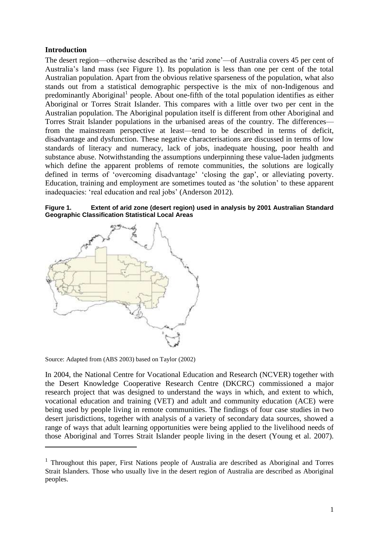# **Introduction**

The desert region—otherwise described as the 'arid zone'—of Australia covers 45 per cent of Australia's land mass (see [Figure 1\)](#page-1-0). Its population is less than one per cent of the total Australian population. Apart from the obvious relative sparseness of the population, what also stands out from a statistical demographic perspective is the mix of non-Indigenous and predominantly Aboriginal<sup>1</sup> people. About one-fifth of the total population identifies as either Aboriginal or Torres Strait Islander. This compares with a little over two per cent in the Australian population. The Aboriginal population itself is different from other Aboriginal and Torres Strait Islander populations in the urbanised areas of the country. The differences from the mainstream perspective at least—tend to be described in terms of deficit, disadvantage and dysfunction. These negative characterisations are discussed in terms of low standards of literacy and numeracy, lack of jobs, inadequate housing, poor health and substance abuse. Notwithstanding the assumptions underpinning these value-laden judgments which define the apparent problems of remote communities, the solutions are logically defined in terms of 'overcoming disadvantage' 'closing the gap', or alleviating poverty. Education, training and employment are sometimes touted as 'the solution' to these apparent inadequacies: 'real education and real jobs' [\(Anderson 2012\)](#page-10-0).

<span id="page-1-0"></span>



Source: Adapted from [\(ABS 2003\)](#page-10-1) based on Taylor [\(2002\)](#page-11-0)

 $\overline{a}$ 

In 2004, the National Centre for Vocational Education and Research (NCVER) together with the Desert Knowledge Cooperative Research Centre (DKCRC) commissioned a major research project that was designed to understand the ways in which, and extent to which, vocational education and training (VET) and adult and community education (ACE) were being used by people living in remote communities. The findings of four case studies in two desert jurisdictions, together with analysis of a variety of secondary data sources, showed a range of ways that adult learning opportunities were being applied to the livelihood needs of those Aboriginal and Torres Strait Islander people living in the desert [\(Young et al. 2007\)](#page-11-1).

<sup>&</sup>lt;sup>1</sup> Throughout this paper, First Nations people of Australia are described as Aboriginal and Torres Strait Islanders. Those who usually live in the desert region of Australia are described as Aboriginal peoples.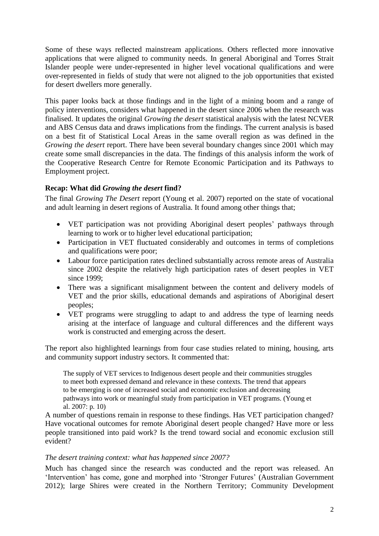Some of these ways reflected mainstream applications. Others reflected more innovative applications that were aligned to community needs. In general Aboriginal and Torres Strait Islander people were under-represented in higher level vocational qualifications and were over-represented in fields of study that were not aligned to the job opportunities that existed for desert dwellers more generally.

This paper looks back at those findings and in the light of a mining boom and a range of policy interventions, considers what happened in the desert since 2006 when the research was finalised. It updates the original *Growing the desert* statistical analysis with the latest NCVER and ABS Census data and draws implications from the findings. The current analysis is based on a best fit of Statistical Local Areas in the same overall region as was defined in the *Growing the desert* report. There have been several boundary changes since 2001 which may create some small discrepancies in the data. The findings of this analysis inform the work of the Cooperative Research Centre for Remote Economic Participation and its Pathways to Employment project.

# **Recap: What did** *Growing the desert* **find?**

The final *Growing The Desert* report [\(Young et al. 2007\)](#page-11-1) reported on the state of vocational and adult learning in desert regions of Australia. It found among other things that;

- VET participation was not providing Aboriginal desert peoples' pathways through learning to work or to higher level educational participation;
- Participation in VET fluctuated considerably and outcomes in terms of completions and qualifications were poor;
- Labour force participation rates declined substantially across remote areas of Australia since 2002 despite the relatively high participation rates of desert peoples in VET since 1999:
- There was a significant misalignment between the content and delivery models of VET and the prior skills, educational demands and aspirations of Aboriginal desert peoples;
- VET programs were struggling to adapt to and address the type of learning needs arising at the interface of language and cultural differences and the different ways work is constructed and emerging across the desert.

The report also highlighted learnings from four case studies related to mining, housing, arts and community support industry sectors. It commented that:

The supply of VET services to Indigenous desert people and their communities struggles to meet both expressed demand and relevance in these contexts. The trend that appears to be emerging is one of increased social and economic exclusion and decreasing pathways into work or meaningful study from participation in VET programs. [\(Young et](#page-11-1)  [al. 2007: p. 10\)](#page-11-1)

A number of questions remain in response to these findings. Has VET participation changed? Have vocational outcomes for remote Aboriginal desert people changed? Have more or less people transitioned into paid work? Is the trend toward social and economic exclusion still evident?

### *The desert training context: what has happened since 2007?*

Much has changed since the research was conducted and the report was released. An 'Intervention' has come, gone and morphed into 'Stronger Futures' [\(Australian Government](#page-10-2)  [2012\)](#page-10-2); large Shires were created in the Northern Territory; Community Development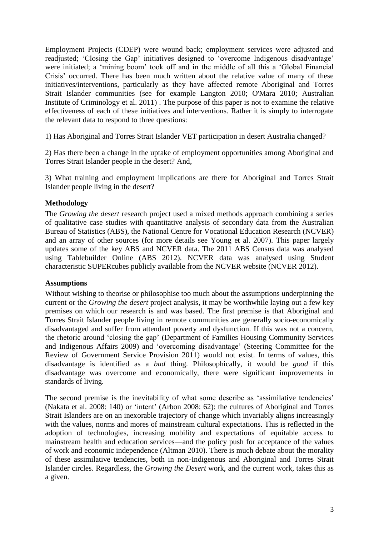Employment Projects (CDEP) were wound back; employment services were adjusted and readjusted; 'Closing the Gap' initiatives designed to 'overcome Indigenous disadvantage' were initiated; a 'mining boom' took off and in the middle of all this a 'Global Financial Crisis' occurred. There has been much written about the relative value of many of these initiatives/interventions, particularly as they have affected remote Aboriginal and Torres Strait Islander communities (see for example [Langton 2010;](#page-10-3) [O'Mara 2010;](#page-11-2) [Australian](#page-10-4)  [Institute of Criminology et al. 2011\)](#page-10-4) . The purpose of this paper is not to examine the relative effectiveness of each of these initiatives and interventions. Rather it is simply to interrogate the relevant data to respond to three questions:

1) Has Aboriginal and Torres Strait Islander VET participation in desert Australia changed?

2) Has there been a change in the uptake of employment opportunities among Aboriginal and Torres Strait Islander people in the desert? And,

3) What training and employment implications are there for Aboriginal and Torres Strait Islander people living in the desert?

# **Methodology**

The *Growing the desert* research project used a mixed methods approach combining a series of qualitative case studies with quantitative analysis of secondary data from the Australian Bureau of Statistics (ABS), the National Centre for Vocational Education Research (NCVER) and an array of other sources [\(for more details see Young et al. 2007\)](#page-11-1). This paper largely updates some of the key ABS and NCVER data. The 2011 ABS Census data was analysed using Tablebuilder Online [\(ABS 2012\)](#page-10-5). NCVER data was analysed using Student characteristic SUPERcubes publicly available from the NCVER website [\(NCVER 2012\)](#page-11-3).

### **Assumptions**

Without wishing to theorise or philosophise too much about the assumptions underpinning the current or the *Growing the desert* project analysis, it may be worthwhile laying out a few key premises on which our research is and was based. The first premise is that Aboriginal and Torres Strait Islander people living in remote communities are generally socio-economically disadvantaged and suffer from attendant poverty and dysfunction. If this was not a concern, the rhetoric around 'closing the gap' [\(Department of Families Housing Community](#page-10-6) Services [and Indigenous Affairs 2009\)](#page-10-6) and 'overcoming disadvantage' [\(Steering Committee for the](#page-11-4)  [Review of Government Service Provision 2011\)](#page-11-4) would not exist. In terms of values, this disadvantage is identified as a *bad* thing. Philosophically, it would be *good* if this disadvantage was overcome and economically, there were significant improvements in standards of living.

The second premise is the inevitability of what some describe as 'assimilative tendencies' [\(Nakata et al. 2008: 140\)](#page-11-5) or 'intent' [\(Arbon 2008: 62\)](#page-10-7): the cultures of Aboriginal and Torres Strait Islanders are on an inexorable trajectory of change which invariably aligns increasingly with the values, norms and mores of mainstream cultural expectations. This is reflected in the adoption of technologies, increasing mobility and expectations of equitable access to mainstream health and education services—and the policy push for acceptance of the values of work and economic independence [\(Altman 2010\)](#page-10-8). There is much debate about the morality of these assimilative tendencies, both in non-Indigenous and Aboriginal and Torres Strait Islander circles. Regardless, the *Growing the Desert* work, and the current work, takes this as a given.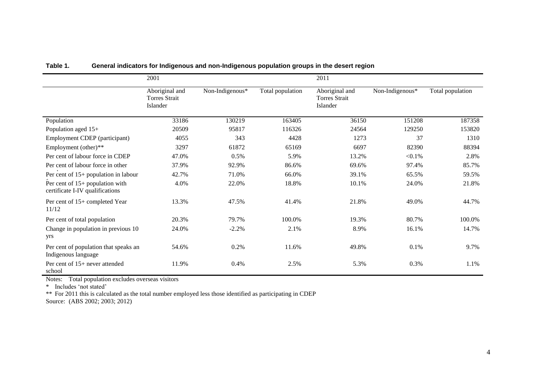|                                                                      | 2001                                               |                 |                  | 2011                                               |                 |                  |
|----------------------------------------------------------------------|----------------------------------------------------|-----------------|------------------|----------------------------------------------------|-----------------|------------------|
|                                                                      | Aboriginal and<br><b>Torres Strait</b><br>Islander | Non-Indigenous* | Total population | Aboriginal and<br><b>Torres Strait</b><br>Islander | Non-Indigenous* | Total population |
| Population                                                           | 33186                                              | 130219          | 163405           | 36150                                              | 151208          | 187358           |
| Population aged 15+                                                  | 20509                                              | 95817           | 116326           | 24564                                              | 129250          | 153820           |
| Employment CDEP (participant)                                        | 4055                                               | 343             | 4428             | 1273                                               | 37              | 1310             |
| Employment (other)**                                                 | 3297                                               | 61872           | 65169            | 6697                                               | 82390           | 88394            |
| Per cent of labour force in CDEP                                     | 47.0%                                              | 0.5%            | 5.9%             | 13.2%                                              | $< 0.1\%$       | 2.8%             |
| Per cent of labour force in other                                    | 37.9%                                              | 92.9%           | 86.6%            | 69.6%                                              | 97.4%           | 85.7%            |
| Per cent of $15+$ population in labour                               | 42.7%                                              | 71.0%           | 66.0%            | 39.1%                                              | 65.5%           | 59.5%            |
| Per cent of $15+$ population with<br>certificate I-IV qualifications | 4.0%                                               | 22.0%           | 18.8%            | 10.1%                                              | 24.0%           | 21.8%            |
| Per cent of 15+ completed Year<br>11/12                              | 13.3%                                              | 47.5%           | 41.4%            | 21.8%                                              | 49.0%           | 44.7%            |
| Per cent of total population                                         | 20.3%                                              | 79.7%           | 100.0%           | 19.3%                                              | 80.7%           | 100.0%           |
| Change in population in previous 10<br>yrs                           | 24.0%                                              | $-2.2%$         | 2.1%             | 8.9%                                               | 16.1%           | 14.7%            |
| Per cent of population that speaks an<br>Indigenous language         | 54.6%                                              | 0.2%            | 11.6%            | 49.8%                                              | 0.1%            | 9.7%             |
| Per cent of 15+ never attended<br>school                             | 11.9%                                              | 0.4%            | 2.5%             | 5.3%                                               | 0.3%            | 1.1%             |

# **Table 1. General indicators for Indigenous and non-Indigenous population groups in the desert region**

<span id="page-4-0"></span>Notes: Total population excludes overseas visitors

\* Includes 'not stated'

\*\* For 2011 this is calculated as the total number employed less those identified as participating in CDEP

Source: [\(ABS 2002;](#page-10-9) [2003;](#page-10-10) [2012\)](#page-10-11)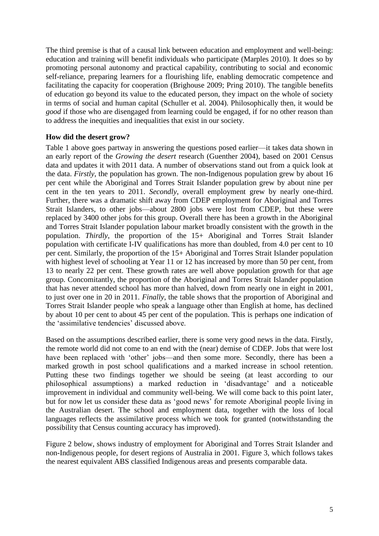The third premise is that of a causal link between education and employment and well-being: education and training will benefit individuals who participate [\(Marples 2010\)](#page-10-12). It does so by promoting personal autonomy and practical capability, contributing to social and economic self-reliance, preparing learners for a flourishing life, enabling democratic competence and facilitating the capacity for cooperation [\(Brighouse 2009;](#page-10-13) [Pring 2010\)](#page-11-6). The tangible benefits of education go beyond its value to the educated person, they impact on the whole of society in terms of social and human capital [\(Schuller et al. 2004\)](#page-11-7). Philosophically then, it would be *good* if those who are disengaged from learning could be engaged, if for no other reason than to address the inequities and inequalities that exist in our society.

# **How did the desert grow?**

[Table 1](#page-4-0) above goes partway in answering the questions posed earlier—it takes data shown in an early report of the *Growing the desert* research [\(Guenther 2004\)](#page-10-14), based on 2001 Census data and updates it with 2011 data. A number of observations stand out from a quick look at the data. *Firstly*, the population has grown. The non-Indigenous population grew by about 16 per cent while the Aboriginal and Torres Strait Islander population grew by about nine per cent in the ten years to 2011. *Secondly*, overall employment grew by nearly one-third. Further, there was a dramatic shift away from CDEP employment for Aboriginal and Torres Strait Islanders, to other jobs—about 2800 jobs were lost from CDEP, but these were replaced by 3400 other jobs for this group. Overall there has been a growth in the Aboriginal and Torres Strait Islander population labour market broadly consistent with the growth in the population. *Thirdly*, the proportion of the 15+ Aboriginal and Torres Strait Islander population with certificate I-IV qualifications has more than doubled, from 4.0 per cent to 10 per cent. Similarly, the proportion of the 15+ Aboriginal and Torres Strait Islander population with highest level of schooling at Year 11 or 12 has increased by more than 50 per cent, from 13 to nearly 22 per cent. These growth rates are well above population growth for that age group. Concomitantly, the proportion of the Aboriginal and Torres Strait Islander population that has never attended school has more than halved, down from nearly one in eight in 2001, to just over one in 20 in 2011. *Finally*, the table shows that the proportion of Aboriginal and Torres Strait Islander people who speak a language other than English at home, has declined by about 10 per cent to about 45 per cent of the population. This is perhaps one indication of the 'assimilative tendencies' discussed above.

Based on the assumptions described earlier, there is some very good news in the data. Firstly, the remote world did not come to an end with the (near) demise of CDEP. Jobs that were lost have been replaced with 'other' jobs—and then some more. Secondly, there has been a marked growth in post school qualifications and a marked increase in school retention. Putting these two findings together we should be seeing (at least according to our philosophical assumptions) a marked reduction in 'disadvantage' and a noticeable improvement in individual and community well-being. We will come back to this point later, but for now let us consider these data as 'good news' for remote Aboriginal people living in the Australian desert. The school and employment data, together with the loss of local languages reflects the assimilative process which we took for granted (notwithstanding the possibility that Census counting accuracy has improved).

[Figure 2](#page-6-0) below, shows industry of employment for Aboriginal and Torres Strait Islander and non-Indigenous people, for desert regions of Australia in 2001. [Figure 3,](#page-6-1) which follows takes the nearest equivalent ABS classified Indigenous areas and presents comparable data.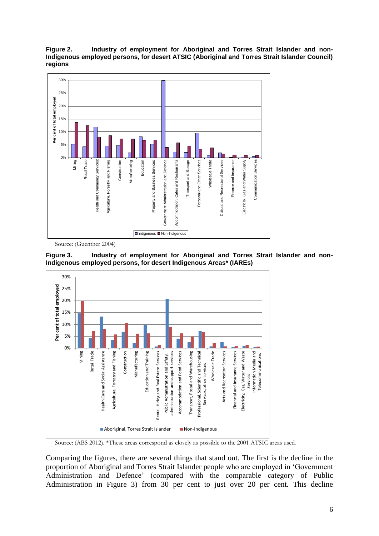<span id="page-6-0"></span>**Figure 2. Industry of employment for Aboriginal and Torres Strait Islander and non-Indigenous employed persons, for desert ATSIC (Aboriginal and Torres Strait Islander Council) regions**



Source: [\(Guenther 2004\)](#page-10-14)

<span id="page-6-1"></span>



Source: [\(ABS 2012\)](#page-10-5). \*These areas correspond as closely as possible to the 2001 ATSIC areas used.

Comparing the figures, there are several things that stand out. The first is the decline in the proportion of Aboriginal and Torres Strait Islander people who are employed in 'Government Administration and Defence' (compared with the comparable category of Public Administration in [Figure 3\)](#page-6-1) from 30 per cent to just over 20 per cent. This decline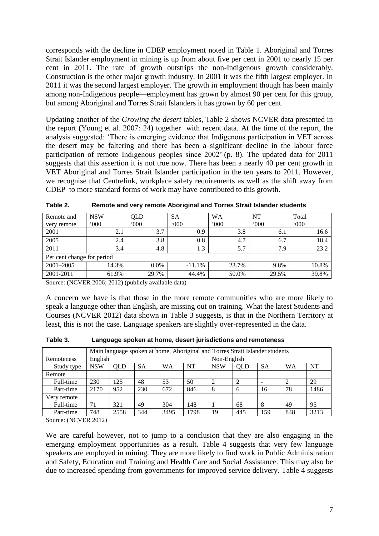corresponds with the decline in CDEP employment noted in [Table 1.](#page-4-0) Aboriginal and Torres Strait Islander employment in mining is up from about five per cent in 2001 to nearly 15 per cent in 2011. The rate of growth outstrips the non-Indigenous growth considerably. Construction is the other major growth industry. In 2001 it was the fifth largest employer. In 2011 it was the second largest employer. The growth in employment though has been mainly among non-Indigenous people—employment has grown by almost 90 per cent for this group, but among Aboriginal and Torres Strait Islanders it has grown by 60 per cent.

Updating another of the *Growing the desert* tables, [Table 2](#page-7-0) shows NCVER data presented in the report [\(Young et al. 2007: 24\)](#page-11-1) together with recent data. At the time of the report, the analysis suggested: 'There is emerging evidence that Indigenous participation in VET across the desert may be faltering and there has been a significant decline in the labour force participation of remote Indigenous peoples since 2002' (p. 8). The updated data for 2011 suggests that this assertion it is not true now. There has been a nearly 40 per cent growth in VET Aboriginal and Torres Strait Islander participation in the ten years to 2011. However, we recognise that Centrelink, workplace safety requirements as well as the shift away from CDEP to more standard forms of work may have contributed to this growth.

| Remote and                 | <b>NSW</b>    | QLD           | SА       | <b>WA</b>     | NT            | Total |  |  |
|----------------------------|---------------|---------------|----------|---------------|---------------|-------|--|--|
| very remote                | $000^{\circ}$ | $000^{\circ}$ | 000      | $000^{\circ}$ | $^{\circ}000$ | 000   |  |  |
| 2001                       | 2.1           | 3.7           | 0.9      | 3.8           | 6.1           | 16.6  |  |  |
| 2005                       | 2.4           | 3.8           | 0.8      | 4.7           | 6.7           | 18.4  |  |  |
| 2011                       | 3.4           | 4.8           | 1.3      | 5.7           | 7.9           | 23.2  |  |  |
| Per cent change for period |               |               |          |               |               |       |  |  |
| $2001 - 2005$              | 14.3%         | $0.0\%$       | $-11.1%$ | 23.7%         | 9.8%          | 10.8% |  |  |
| 2001-2011                  | 61.9%         | 29.7%         | 44.4%    | 50.0%         | 29.5%         | 39.8% |  |  |

<span id="page-7-0"></span>**Table 2. Remote and very remote Aboriginal and Torres Strait Islander students**

Source: [\(NCVER 2006;](#page-11-8) [2012\)](#page-11-3) (publicly available data)

A concern we have is that those in the more remote communities who are more likely to speak a language other than English, are missing out on training. What the latest Students and Courses [\(NCVER 2012\)](#page-11-3) data shown in [Table 3](#page-7-1) suggests, is that in the Northern Territory at least, this is not the case. Language speakers are slightly over-represented in the data.

|             | Main language spoken at home, Aboriginal and Torres Strait Islander students |                                                                                                  |     |      |      |             |     |     |     |      |
|-------------|------------------------------------------------------------------------------|--------------------------------------------------------------------------------------------------|-----|------|------|-------------|-----|-----|-----|------|
| Remoteness  | English                                                                      |                                                                                                  |     |      |      | Non-English |     |     |     |      |
| Study type  | <b>NSW</b>                                                                   | NT<br><b>WA</b><br><b>WA</b><br><b>SA</b><br><b>NSW</b><br><b>SA</b><br><b>QLD</b><br><b>OLD</b> |     |      |      |             |     | NT  |     |      |
| Remote      |                                                                              |                                                                                                  |     |      |      |             |     |     |     |      |
| Full-time   | 230                                                                          | 125                                                                                              | 48  | 53   | 50   | 2           |     |     |     | 29   |
| Part-time   | 2170                                                                         | 952                                                                                              | 230 | 672  | 846  | 8           | 6   | 16  | 78  | 1486 |
| Very remote |                                                                              |                                                                                                  |     |      |      |             |     |     |     |      |
| Full-time   | 71                                                                           | 321                                                                                              | 49  | 304  | 148  |             | 68  |     | 49  | 95   |
| Part-time   | 748                                                                          | 2558                                                                                             | 344 | 3495 | 1798 | 19          | 445 | 159 | 848 | 3213 |

<span id="page-7-1"></span>**Table 3. Language spoken at home, desert jurisdictions and remoteness**

Source: [\(NCVER 2012\)](#page-11-3)

We are careful however, not to jump to a conclusion that they are also engaging in the emerging employment opportunities as a result. [Table 4](#page-8-0) suggests that very few language speakers are employed in mining. They are more likely to find work in Public Administration and Safety, Education and Training and Health Care and Social Assistance. This may also be due to increased spending from governments for improved service delivery. [Table 4](#page-8-0) suggests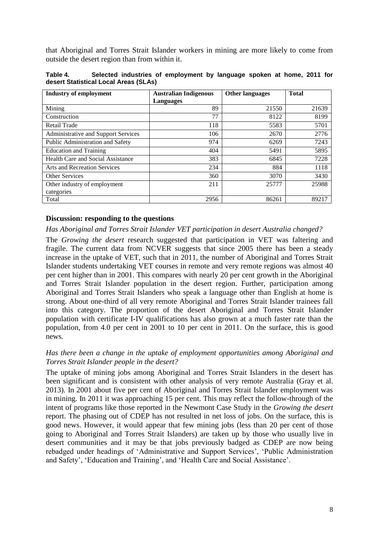that Aboriginal and Torres Strait Islander workers in mining are more likely to come from outside the desert region than from within it.

<span id="page-8-0"></span>

| Table 4.                              |  | Selected industries of employment by language spoken at home, 2011 for |  |  |  |  |
|---------------------------------------|--|------------------------------------------------------------------------|--|--|--|--|
| desert Statistical Local Areas (SLAs) |  |                                                                        |  |  |  |  |

| <b>Industry of employment</b>              | <b>Australian Indigenous</b> | <b>Other languages</b> | <b>Total</b> |  |
|--------------------------------------------|------------------------------|------------------------|--------------|--|
|                                            | Languages                    |                        |              |  |
| Mining                                     | 89                           | 21550                  | 21639        |  |
| Construction                               | 77                           | 8122                   | 8199         |  |
| <b>Retail Trade</b>                        | 118                          | 5583                   | 5701         |  |
| <b>Administrative and Support Services</b> | 106                          | 2670                   | 2776         |  |
| Public Administration and Safety           | 974                          | 6269                   | 7243         |  |
| <b>Education and Training</b>              | 404                          | 5491                   | 5895         |  |
| Health Care and Social Assistance          | 383                          | 6845                   | 7228         |  |
| <b>Arts and Recreation Services</b>        | 234                          | 884                    | 1118         |  |
| <b>Other Services</b>                      | 360                          | 3070                   | 3430         |  |
| Other industry of employment               | 211                          | 25777                  | 25988        |  |
| categories                                 |                              |                        |              |  |
| Total                                      | 2956                         | 86261                  | 89217        |  |

### **Discussion: responding to the questions**

*Has Aboriginal and Torres Strait Islander VET participation in desert Australia changed?* 

The *Growing the desert* research suggested that participation in VET was faltering and fragile. The current data from NCVER suggests that since 2005 there has been a steady increase in the uptake of VET, such that in 2011, the number of Aboriginal and Torres Strait Islander students undertaking VET courses in remote and very remote regions was almost 40 per cent higher than in 2001. This compares with nearly 20 per cent growth in the Aboriginal and Torres Strait Islander population in the desert region. Further, participation among Aboriginal and Torres Strait Islanders who speak a language other than English at home is strong. About one-third of all very remote Aboriginal and Torres Strait Islander trainees fall into this category. The proportion of the desert Aboriginal and Torres Strait Islander population with certificate I-IV qualifications has also grown at a much faster rate than the population, from 4.0 per cent in 2001 to 10 per cent in 2011. On the surface, this is good news.

# *Has there been a change in the uptake of employment opportunities among Aboriginal and Torres Strait Islander people in the desert?*

The uptake of mining jobs among Aboriginal and Torres Strait Islanders in the desert has been significant and is consistent with other analysis of very remote Australia (Gray [et al.](#page-10-15)  [2013\)](#page-10-15). In 2001 about five per cent of Aboriginal and Torres Strait Islander employment was in mining. In 2011 it was approaching 15 per cent. This may reflect the follow-through of the intent of programs like those reported in the Newmont Case Study in the *Growing the desert* report. The phasing out of CDEP has not resulted in net loss of jobs. On the surface, this is good news. However, it would appear that few mining jobs (less than 20 per cent of those going to Aboriginal and Torres Strait Islanders) are taken up by those who usually live in desert communities and it may be that jobs previously badged as CDEP are now being rebadged under headings of 'Administrative and Support Services', 'Public Administration and Safety', 'Education and Training', and 'Health Care and Social Assistance'.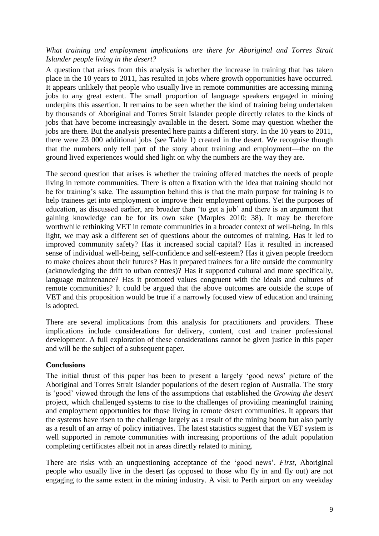# *What training and employment implications are there for Aboriginal and Torres Strait Islander people living in the desert?*

A question that arises from this analysis is whether the increase in training that has taken place in the 10 years to 2011, has resulted in jobs where growth opportunities have occurred. It appears unlikely that people who usually live in remote communities are accessing mining jobs to any great extent. The small proportion of language speakers engaged in mining underpins this assertion. It remains to be seen whether the kind of training being undertaken by thousands of Aboriginal and Torres Strait Islander people directly relates to the kinds of jobs that have become increasingly available in the desert. Some may question whether the jobs are there. But the analysis presented here paints a different story. In the 10 years to 2011, there were 23 000 additional jobs (see [Table 1\)](#page-4-0) created in the desert. We recognise though that the numbers only tell part of the story about training and employment—the on the ground lived experiences would shed light on why the numbers are the way they are.

The second question that arises is whether the training offered matches the needs of people living in remote communities. There is often a fixation with the idea that training should not be for training's sake. The assumption behind this is that the main purpose for training is to help trainees get into employment or improve their employment options. Yet the purposes of education, as discussed earlier, are broader than 'to get a job' and there is an argument that gaining knowledge can be for its own sake [\(Marples 2010: 38\)](#page-10-12). It may be therefore worthwhile rethinking VET in remote communities in a broader context of well-being. In this light, we may ask a different set of questions about the outcomes of training. Has it led to improved community safety? Has it increased social capital? Has it resulted in increased sense of individual well-being, self-confidence and self-esteem? Has it given people freedom to make choices about their futures? Has it prepared trainees for a life outside the community (acknowledging the drift to urban centres)? Has it supported cultural and more specifically, language maintenance? Has it promoted values congruent with the ideals and cultures of remote communities? It could be argued that the above outcomes are outside the scope of VET and this proposition would be true if a narrowly focused view of education and training is adopted.

There are several implications from this analysis for practitioners and providers. These implications include considerations for delivery, content, cost and trainer professional development. A full exploration of these considerations cannot be given justice in this paper and will be the subject of a subsequent paper.

### **Conclusions**

The initial thrust of this paper has been to present a largely 'good news' picture of the Aboriginal and Torres Strait Islander populations of the desert region of Australia. The story is 'good' viewed through the lens of the assumptions that established the *Growing the desert* project, which challenged systems to rise to the challenges of providing meaningful training and employment opportunities for those living in remote desert communities. It appears that the systems have risen to the challenge largely as a result of the mining boom but also partly as a result of an array of policy initiatives. The latest statistics suggest that the VET system is well supported in remote communities with increasing proportions of the adult population completing certificates albeit not in areas directly related to mining.

There are risks with an unquestioning acceptance of the 'good news'. *First*, Aboriginal people who usually live in the desert (as opposed to those who fly in and fly out) are not engaging to the same extent in the mining industry. A visit to Perth airport on any weekday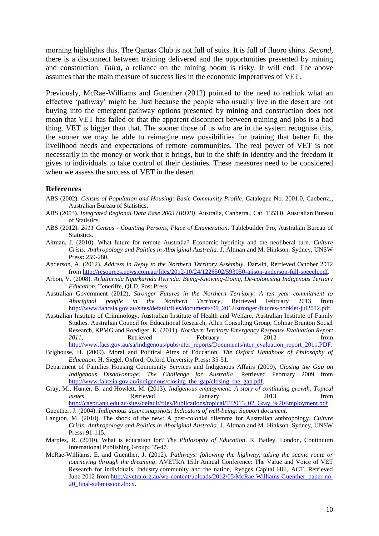<span id="page-10-11"></span><span id="page-10-10"></span><span id="page-10-9"></span>morning highlights this. The Qantas Club is not full of suits. It is full of fluoro shirts. *Second*, there is a disconnect between training delivered and the opportunities presented by mining and construction. *Third*, a reliance on the mining boom is risky. It will end. The above assumes that the main measure of success lies in the economic imperatives of VET.

Previously, McRae-Williams and Guenther [\(2012\)](#page-10-16) pointed to the need to rethink what an effective 'pathway' might be. Just because the people who usually live in the desert are not buying into the emergent pathway options presented by mining and construction does not mean that VET has failed or that the apparent disconnect between training and jobs is a bad thing. VET is bigger than that. The sooner those of us who are in the system recognise this, the sooner we may be able to reimagine new possibilities for training that better fit the livelihood needs and expectations of remote communities. The real power of VET is not necessarily in the money or work that it brings, but in the shift in identity and the freedom it gives to individuals to take control of their destinies. These measures need to be considered when we assess the success of VET in the desert.

#### **References**

- ABS (2002). *Census of Population and Housing: Basic Community Profile*, Catalogue No. 2001.0, Canberra., Australian Bureau of Statistics.
- <span id="page-10-1"></span>ABS (2003). *Integrated Regional Data Base 2003 (IRDB)*, Australia, Canberra., Cat. 1353.0. Australian Bureau of Statistics.
- <span id="page-10-5"></span>ABS (2012). *2011 Census - Counting Persons, Place of Enumeration*. Tablebuilder Pro, Australian Bureau of Statistics.
- <span id="page-10-8"></span>Altman, J. (2010). What future for remote Australia? Economic hybridity and the neoliberal turn. *Culture Crisis: Anthropology and Politics in Aboriginal Australia*. J. Altman and M. Hinkson. Sydney, UNSW Press**:** 259-280.
- <span id="page-10-0"></span>Anderson, A. (2012), *Address in Reply to the Northern Territory Assembly*. Darwin, Retrieved October 2012 from [http://resources.news.com.au/files/2012/10/24/1226502/593050-alison-anderson-full-speech.pdf.](http://resources.news.com.au/files/2012/10/24/1226502/593050-alison-anderson-full-speech.pdf)
- <span id="page-10-7"></span>Arbon, V. (2008). *Arlathirnda Ngurkarnda Ityirnda: Being-Knowing-Doing, De-colonising Indigenous Tertiary Education*, Teneriffe, QLD, Post Press.
- <span id="page-10-2"></span>Australian Government (2012), *Stronger Futures in the Northern Territory: A ten year commitment to Aboriginal people in the Northern Territory*, Retrieved February 2013 from [http://www.fahcsia.gov.au/sites/default/files/documents/09\\_2012/stronger-futures-booklet-jul2012.pdf.](http://www.fahcsia.gov.au/sites/default/files/documents/09_2012/stronger-futures-booklet-jul2012.pdf)
- <span id="page-10-4"></span>Australian Institute of Criminology, Australian Institute of Health and Welfare, Australian Institute of Family Studies, Australian Council for Educational Research, Allen Consulting Group, Colmar Brunton Social Research, KPMG and Roediger, K. (2011), *Northern Territory Emergency Response Evaluation Report*  2011, **Retrieved** February 2012 from [http://www.facs.gov.au/sa/indigenous/pubs/nter\\_reports/Documents/nter\\_evaluation\\_report\\_2011.PDF.](http://www.facs.gov.au/sa/indigenous/pubs/nter_reports/Documents/nter_evaluation_report_2011.PDF)
- <span id="page-10-13"></span>Brighouse, H. (2009). Moral and Political Aims of Education. *The Oxford Handbook of Philosophy of* 
	- *Education*. H. Siegel. Oxford, Oxford University Press**:** 35-51.
- <span id="page-10-6"></span>Department of Families Housing Community Services and Indigenous Affairs (2009), *Closing the Gap on Indigenous Disadvantage: The Challenge for Australia*, Retrieved February 2009 from [http://www.fahcsia.gov.au/indigenous/closing\\_the\\_gap/closing\\_the\\_gap.pdf.](http://www.fahcsia.gov.au/indigenous/closing_the_gap/closing_the_gap.pdf)
- <span id="page-10-15"></span>Gray, M., Hunter, B. and Howlett, M. (2013), *Indigenous employment: A story of continuing growth*, *Topical Issues*, Retrieved January 2013 from [http://caepr.anu.edu.au/sites/default/files/Publications/topical/TI2013\\_02\\_Gray\\_%20Employment.pdf.](http://caepr.anu.edu.au/sites/default/files/Publications/topical/TI2013_02_Gray_%20Employment.pdf)
- <span id="page-10-14"></span>Guenther, J. (2004). *Indigenous desert snapshots: Indicators of well-being: Support document*.
- <span id="page-10-3"></span>Langton, M. (2010). The shock of the new: A post-colonial dilemma for Australian anthropology. *Culture Crisis: Anthropology and Politics in Aboriginal Australia*. J. Altman and M. Hinkson. Sydney, UNSW Press**:** 91-115.
- <span id="page-10-12"></span>Marples, R. (2010). What is education for? *The Philosophy of Education*. R. Bailey. London, Continuum International Publishing Group**:** 35-47.
- <span id="page-10-16"></span>McRae-Williams, E. and Guenther, J. (2012). *Pathways: following the highway, taking the scenic route or journeying through the dreaming*. AVETRA 15th Annual Conference: The Value and Voice of VET Research for individuals, industry,community and the nation, Rydges Capital Hill, ACT, Retrieved June 2012 from [http://avetra.org.au/wp-content/uploads/2012/05/McRae-Williams-Guenther\\_paper-no-](http://avetra.org.au/wp-content/uploads/2012/05/McRae-Williams-Guenther_paper-no-20_final-submission.docx)20 final-submission.docx.